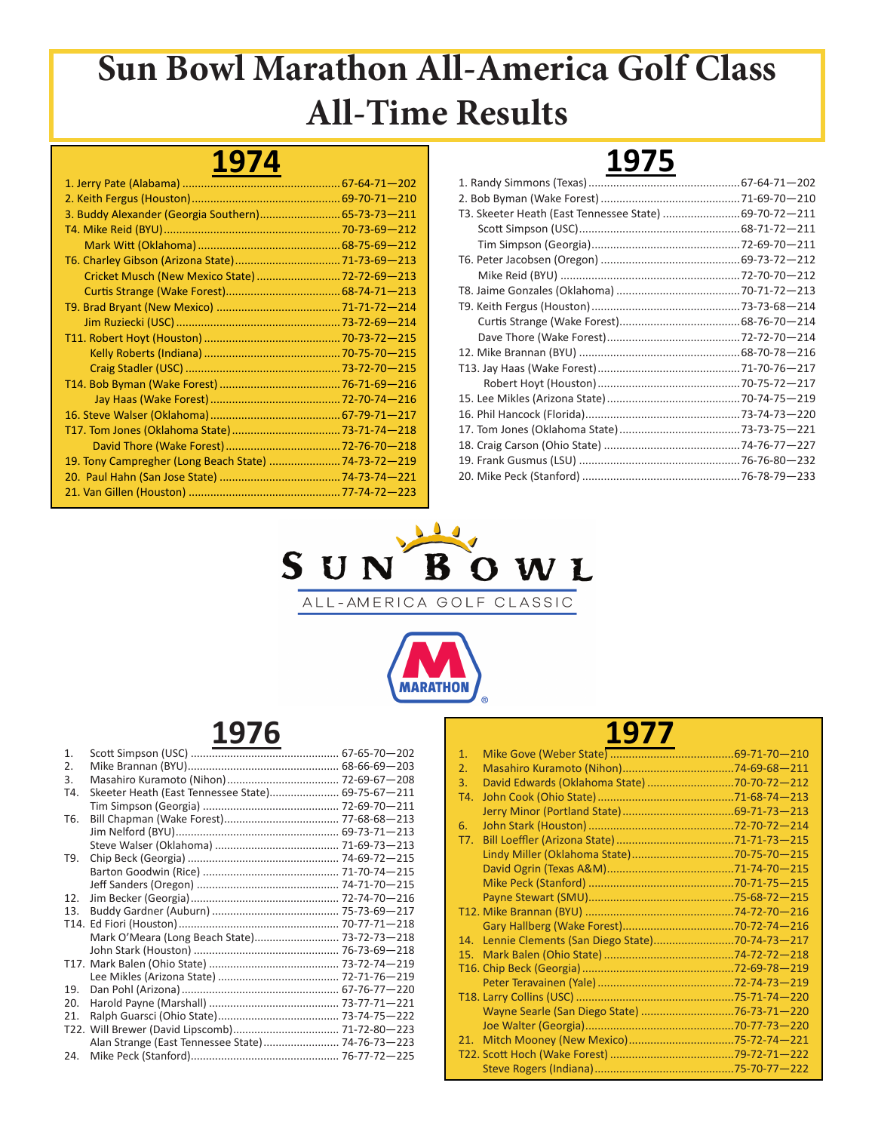### **1974**

| 3. Buddy Alexander (Georgia Southern) 65-73-73-211   |  |
|------------------------------------------------------|--|
|                                                      |  |
|                                                      |  |
|                                                      |  |
| Cricket Musch (New Mexico State) 72-72-69-213        |  |
|                                                      |  |
|                                                      |  |
|                                                      |  |
|                                                      |  |
|                                                      |  |
|                                                      |  |
|                                                      |  |
|                                                      |  |
|                                                      |  |
|                                                      |  |
|                                                      |  |
| 19. Tony Campregher (Long Beach State)  74-73-72-219 |  |
|                                                      |  |
|                                                      |  |

# **1975**

| T3. Skeeter Heath (East Tennessee State) 69-70-72-211 |  |
|-------------------------------------------------------|--|
|                                                       |  |
|                                                       |  |
|                                                       |  |
|                                                       |  |
|                                                       |  |
|                                                       |  |
|                                                       |  |
|                                                       |  |
|                                                       |  |
|                                                       |  |
|                                                       |  |
|                                                       |  |
|                                                       |  |
|                                                       |  |
|                                                       |  |
|                                                       |  |
|                                                       |  |





### **1976**

| Mark O'Meara (Long Beach State) 73-72-73-218 |                                                                                                       |
|----------------------------------------------|-------------------------------------------------------------------------------------------------------|
|                                              |                                                                                                       |
|                                              |                                                                                                       |
|                                              |                                                                                                       |
|                                              |                                                                                                       |
|                                              |                                                                                                       |
|                                              |                                                                                                       |
|                                              |                                                                                                       |
|                                              |                                                                                                       |
|                                              |                                                                                                       |
|                                              | Skeeter Heath (East Tennessee State) 69-75-67-211<br>Alan Strange (East Tennessee State) 74-76-73-223 |

| $\mathbf{1}$ . |                                               |  |
|----------------|-----------------------------------------------|--|
| 2.             |                                               |  |
| 3.             | David Edwards (Oklahoma State) 70-70-72-212   |  |
| T4.            |                                               |  |
|                |                                               |  |
| 6.             |                                               |  |
| T7.            |                                               |  |
|                |                                               |  |
|                |                                               |  |
|                |                                               |  |
|                |                                               |  |
|                |                                               |  |
|                |                                               |  |
| 14.            | Lennie Clements (San Diego State)70-74-73-217 |  |
| 15.            |                                               |  |
|                |                                               |  |
|                |                                               |  |
|                |                                               |  |
|                |                                               |  |
|                |                                               |  |
| 21.            |                                               |  |
|                |                                               |  |
|                |                                               |  |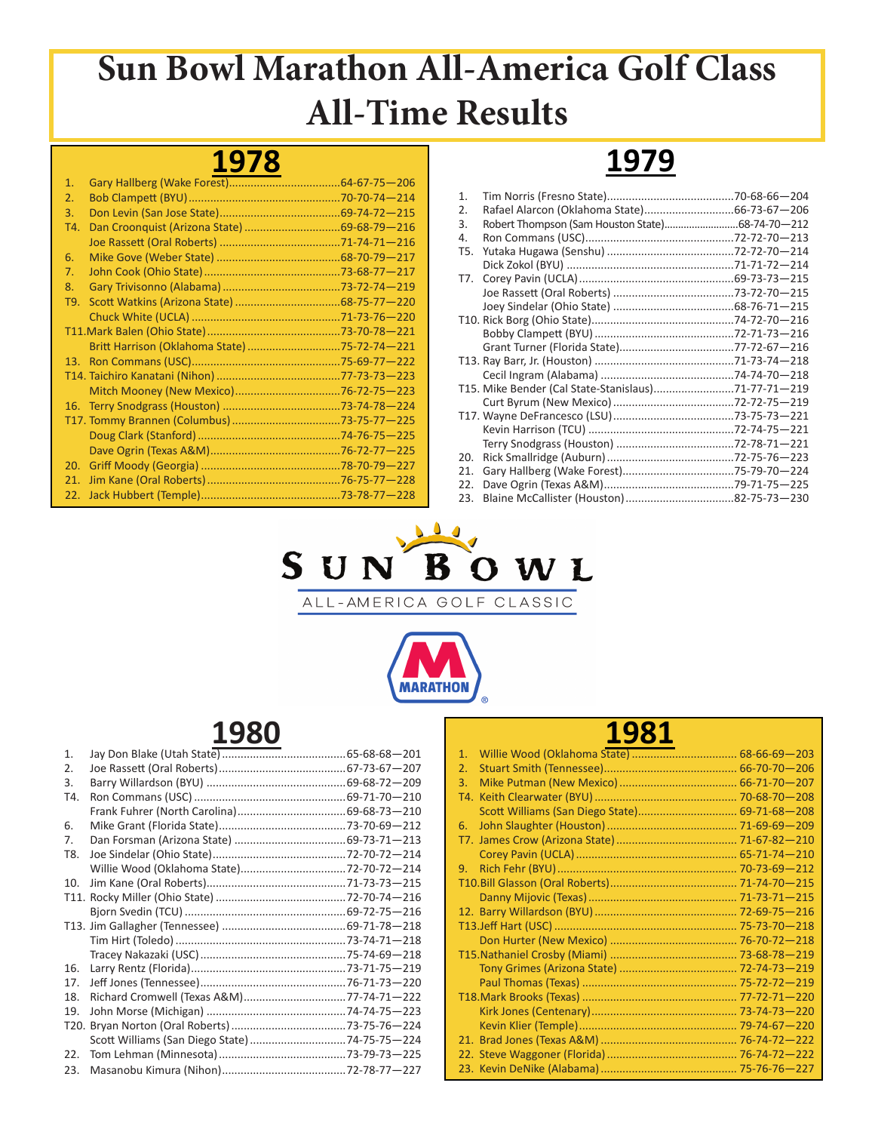#### **1978**

| 1.  |                                              |  |
|-----|----------------------------------------------|--|
| 2.  |                                              |  |
| 3.  |                                              |  |
| T4. |                                              |  |
|     |                                              |  |
| 6.  |                                              |  |
| 7.  |                                              |  |
| 8.  |                                              |  |
| T9. |                                              |  |
|     |                                              |  |
|     |                                              |  |
|     | Britt Harrison (Oklahoma State) 75-72-74-221 |  |
|     |                                              |  |
|     |                                              |  |
|     |                                              |  |
|     |                                              |  |
|     |                                              |  |
|     |                                              |  |
|     |                                              |  |
| 20. |                                              |  |
| 21. |                                              |  |
| 22. |                                              |  |

#### 1. Tim Norris (Fresno State).........................................70-68-66—204 2. Rafael Alarcon (Oklahoma State)...............................66-73-67-206<br>3. Robert Thompson (Sam Houston State)............................68-74-70-212 3. Robert Thompson (Sam Houston State)...........................68-74-70—212 4. Ron Commans (USC)................................................72-72-70—213 T5. Yutaka Hugawa (Senshu) .........................................72-72-70—214 Dick Zokol (BYU) ......................................................71-71-72—214 T7. Corey Pavin (UCLA)..................................................69-73-73—215 Joe Rassett (Oral Roberts) .......................................73-72-70—215 Joey Sindelar (Ohio State) .......................................68-76-71—215 T10. Rick Borg (Ohio State)..............................................74-72-70—216 Bobby Clampett (BYU).............................................72-71-73—216 Grant Turner (Florida State).....................................77-72-67—216 T13. Ray Barr, Jr. (Houston) .............................................71-73-74—218 Cecil Ingram (Alabama) ...........................................74-74-70—218 T15. Mike Bender (Cal State-Stanislaus)..........................71-77-71—219 Curt Byrum (New Mexico).......................................72-72-75—219 T17. Wayne DeFrancesco (LSU).......................................73-75-73—221 Kevin Harrison (TCU) ...............................................72-74-75—221 Terry Snodgrass (Houston) ......................................72-78-71—221 20. Rick Smallridge (Auburn).........................................72-75-76—223 21. Gary Hallberg (Wake Forest)....................................75-79-70—224 22. Dave Ogrin (Texas A&M)..........................................79-71-75—225 23. Blaine McCallister (Houston)...................................82-75-73—230

**1979**



ALL-AMERICA GOLF CLASSIC



### **1980**

| 1.  |                                          |  |
|-----|------------------------------------------|--|
| 2.  |                                          |  |
| 3.  |                                          |  |
| T4. |                                          |  |
|     |                                          |  |
| 6.  |                                          |  |
| 7.  |                                          |  |
| T8. |                                          |  |
|     |                                          |  |
| 10. |                                          |  |
|     |                                          |  |
|     |                                          |  |
|     |                                          |  |
|     |                                          |  |
|     |                                          |  |
| 16. |                                          |  |
| 17. |                                          |  |
| 18. | Richard Cromwell (Texas A&M)77-74-71-222 |  |
| 19. |                                          |  |
|     |                                          |  |
|     |                                          |  |
| 22. |                                          |  |
| 23. |                                          |  |

| 1.                                            |  |
|-----------------------------------------------|--|
| 2.                                            |  |
| 3.                                            |  |
|                                               |  |
| Scott Williams (San Diego State) 69-71-68-208 |  |
| 6.                                            |  |
|                                               |  |
|                                               |  |
| 9.                                            |  |
|                                               |  |
|                                               |  |
|                                               |  |
|                                               |  |
|                                               |  |
|                                               |  |
|                                               |  |
|                                               |  |
|                                               |  |
|                                               |  |
|                                               |  |
|                                               |  |
|                                               |  |
|                                               |  |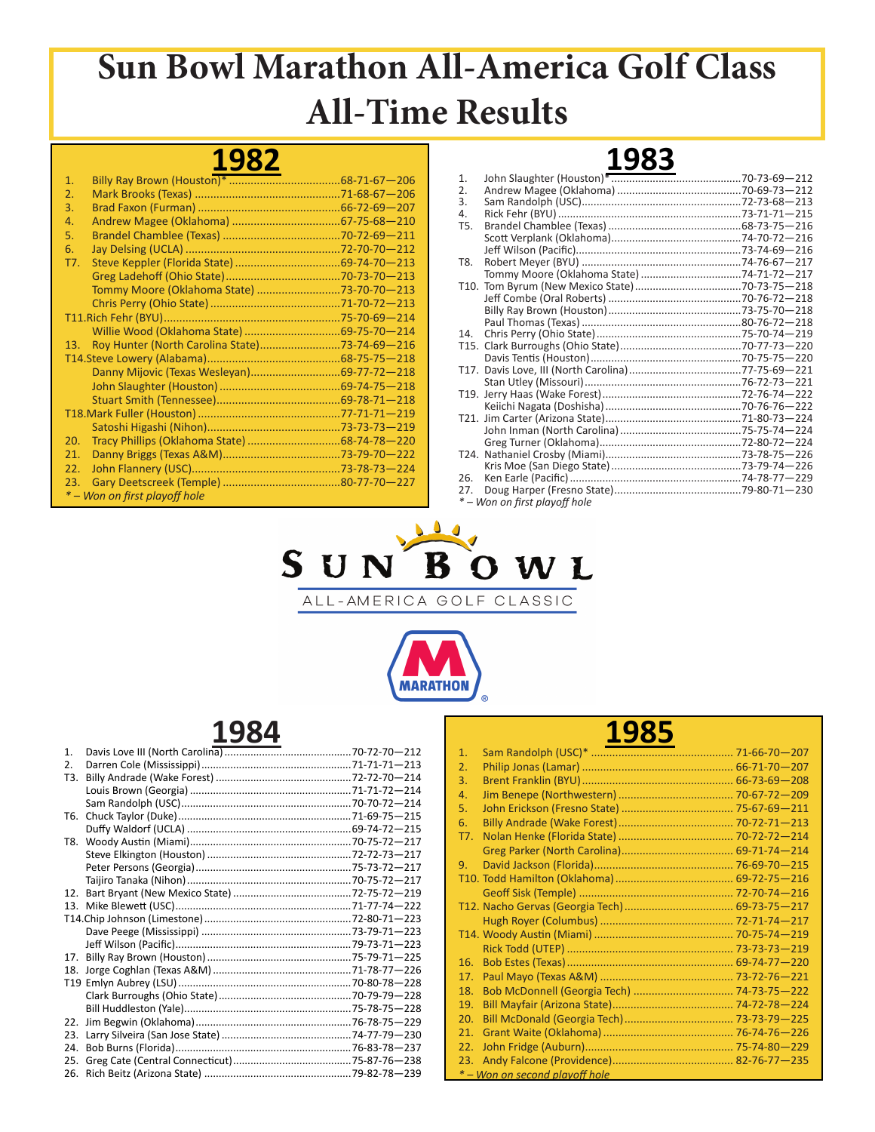## **1982**

| 1 <sub>1</sub> |                                               |  |
|----------------|-----------------------------------------------|--|
| 2.             |                                               |  |
| 3.             |                                               |  |
| 4.             |                                               |  |
| 5.             |                                               |  |
| 6.             |                                               |  |
| T7.            |                                               |  |
|                |                                               |  |
|                | Tommy Moore (Oklahoma State) 73-70-70-213     |  |
|                |                                               |  |
|                |                                               |  |
|                |                                               |  |
| 13.            | Roy Hunter (North Carolina State)73-74-69-216 |  |
|                |                                               |  |
|                |                                               |  |
|                |                                               |  |
|                |                                               |  |
|                |                                               |  |
|                |                                               |  |
| 20.            |                                               |  |
| 21.            |                                               |  |
| 22.            |                                               |  |
| 23.            |                                               |  |
|                | * – Won on first playoff hole                 |  |

|     | ᆂᇦᇦᇦ                          |  |
|-----|-------------------------------|--|
| 1.  |                               |  |
| 2.  |                               |  |
| 3.  |                               |  |
| 4.  |                               |  |
| T5. |                               |  |
|     |                               |  |
|     |                               |  |
| T8. |                               |  |
|     |                               |  |
|     |                               |  |
|     |                               |  |
|     |                               |  |
|     |                               |  |
| 14. |                               |  |
|     |                               |  |
|     |                               |  |
|     |                               |  |
|     |                               |  |
|     |                               |  |
|     |                               |  |
|     |                               |  |
|     |                               |  |
|     |                               |  |
|     |                               |  |
|     |                               |  |
| 26. |                               |  |
| 27. |                               |  |
|     | * – Won on first playoff hole |  |
|     |                               |  |

**1983**



ALL-AMERICA GOLF CLASSIC



### **1984**

| 1 <sub>1</sub> |  |
|----------------|--|
| 2.             |  |
| T3.            |  |
|                |  |
|                |  |
| T6.            |  |
|                |  |
| T8.            |  |
|                |  |
|                |  |
|                |  |
| 12.            |  |
|                |  |
|                |  |
|                |  |
|                |  |
| 17.            |  |
| 18.            |  |
|                |  |
|                |  |
|                |  |
| 22.            |  |
| 23.            |  |
| 24.            |  |
| 25.            |  |
| 26.            |  |

| TJOJ |                                |  |
|------|--------------------------------|--|
| 1.   |                                |  |
| 2.   |                                |  |
| 3.   |                                |  |
| 4.   |                                |  |
| 5.   |                                |  |
| 6.   |                                |  |
| T7.  |                                |  |
|      |                                |  |
| 9.   |                                |  |
|      |                                |  |
|      |                                |  |
|      |                                |  |
|      |                                |  |
|      |                                |  |
|      |                                |  |
| 16.  |                                |  |
| 17.  |                                |  |
| 18.  |                                |  |
| 19.  |                                |  |
| 20.  |                                |  |
| 21.  |                                |  |
| 22.  |                                |  |
| 23.  |                                |  |
|      | * – Won on second plavoff hole |  |

**100E**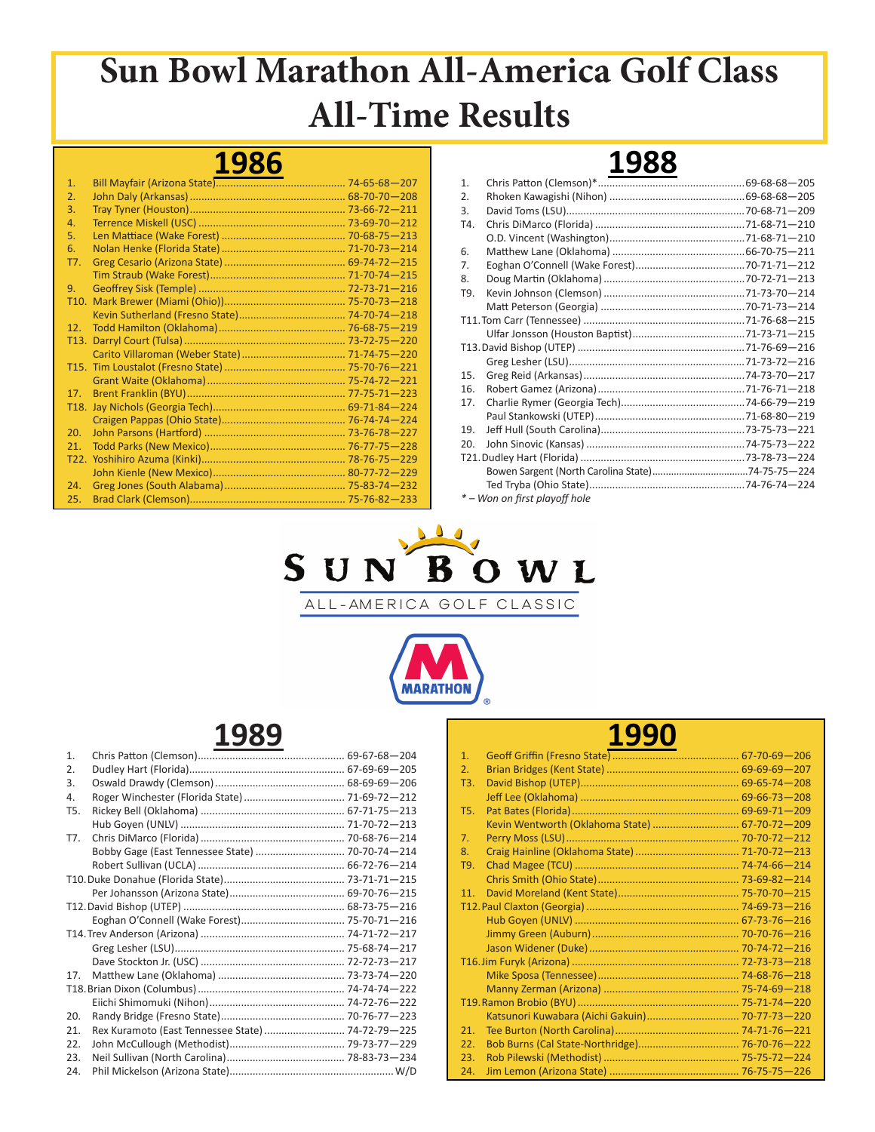### **1986**

| 1.                |  |
|-------------------|--|
| 2.                |  |
| 3.                |  |
| 4.                |  |
| 5.                |  |
| 6.                |  |
| T7.               |  |
|                   |  |
| 9.                |  |
| T10.              |  |
|                   |  |
| 12.               |  |
|                   |  |
|                   |  |
|                   |  |
|                   |  |
| 17.               |  |
| T <sub>18</sub> . |  |
|                   |  |
| 20.               |  |
| 21.               |  |
|                   |  |
|                   |  |
| 24.               |  |
| 25.               |  |

| 1.  |                               |  |
|-----|-------------------------------|--|
| 2.  |                               |  |
| 3.  |                               |  |
| T4. |                               |  |
|     |                               |  |
| 6.  |                               |  |
| 7.  |                               |  |
| 8.  |                               |  |
| T9. |                               |  |
|     |                               |  |
|     |                               |  |
|     |                               |  |
|     |                               |  |
|     |                               |  |
| 15. |                               |  |
| 16. |                               |  |
| 17. |                               |  |
|     |                               |  |
| 19. |                               |  |
| 20. |                               |  |
|     |                               |  |
|     |                               |  |
|     |                               |  |
|     | * - Won on first playoff hole |  |
|     |                               |  |

**1988**



ALL-AMERICA GOLF CLASSIC



### **1989**

| 1.               |                                                   |  |
|------------------|---------------------------------------------------|--|
| 2.               |                                                   |  |
| 3.               |                                                   |  |
| 4.               |                                                   |  |
| T <sub>5</sub> . |                                                   |  |
|                  |                                                   |  |
| T7.              |                                                   |  |
|                  |                                                   |  |
|                  |                                                   |  |
|                  |                                                   |  |
|                  |                                                   |  |
|                  |                                                   |  |
|                  |                                                   |  |
|                  |                                                   |  |
|                  |                                                   |  |
|                  |                                                   |  |
| 17 <sub>1</sub>  |                                                   |  |
|                  |                                                   |  |
|                  |                                                   |  |
| 20.              |                                                   |  |
| 21.              | Rex Kuramoto (East Tennessee State)  74-72-79-225 |  |
| 22.              |                                                   |  |
| 23.              |                                                   |  |
| 24.              |                                                   |  |

#### **1990** 1. Geoff Griffin (Fresno State)............................................ 67-70-69—206

| 2.  |                                                |  |
|-----|------------------------------------------------|--|
| T3. |                                                |  |
|     |                                                |  |
| T5. |                                                |  |
|     | Kevin Wentworth (Oklahoma State)  67-70-72-209 |  |
| 7.  |                                                |  |
| 8.  |                                                |  |
| T9. |                                                |  |
|     |                                                |  |
| 11. |                                                |  |
|     |                                                |  |
|     |                                                |  |
|     |                                                |  |
|     |                                                |  |
|     |                                                |  |
|     |                                                |  |
|     |                                                |  |
|     |                                                |  |
|     | Katsunori Kuwabara (Aichi Gakuin) 70-77-73-220 |  |
| 21. |                                                |  |
| 22. |                                                |  |
| 23. |                                                |  |
| 24. |                                                |  |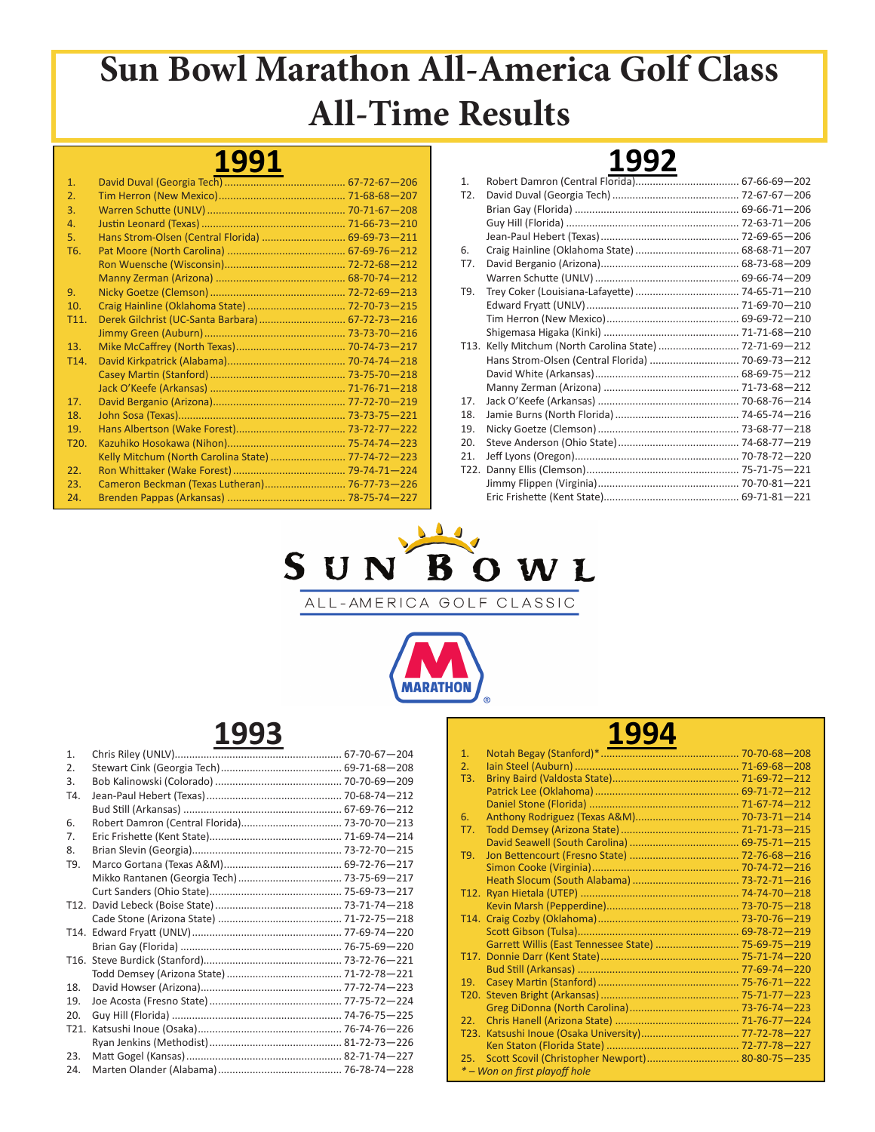#### **1991**

| 1.                |                                                    |  |
|-------------------|----------------------------------------------------|--|
| 2.                |                                                    |  |
| 3.                |                                                    |  |
| 4.                |                                                    |  |
| 5.                | Hans Strom-Olsen (Central Florida)  69-69-73-211   |  |
| T <sub>6</sub> .  |                                                    |  |
|                   |                                                    |  |
|                   |                                                    |  |
| 9.                |                                                    |  |
| 10.               |                                                    |  |
| T11.              |                                                    |  |
|                   |                                                    |  |
| 13.               |                                                    |  |
| T <sub>14</sub> . |                                                    |  |
|                   |                                                    |  |
|                   |                                                    |  |
| 17.               |                                                    |  |
| 18.               |                                                    |  |
| 19.               |                                                    |  |
| T <sub>20</sub> . |                                                    |  |
|                   | Kelly Mitchum (North Carolina State)  77-74-72-223 |  |
| 22.               |                                                    |  |
| 23.               | Cameron Beckman (Texas Lutheran) 76-77-73-226      |  |
| 24.               |                                                    |  |

#### **1992** 1. Robert Damron (Central Florida).................................... 67-66-69—202 T2. David Duval (Georgia Tech)............................................ 72-67-67—206 Brian Gay (Florida) ......................................................... 69-66-71—206 Guy Hill (Florida) ............................................................ 72-63-71—206 Jean-Paul Hebert (Texas)................................................ 72-69-65—206 6. Craig Hainline (Oklahoma State).................................... 68-68-71—207 T7. David Berganio (Arizona)................................................ 68-73-68—209 Warren Schutte (UNLV).................................................. 69-66-74—209 T9. Trey Coker (Louisiana-Lafayette).................................... 74-65-71—210 Edward Fryatt (UNLV)..................................................... 71-69-70—210 Tim Herron (New Mexico).............................................. 69-69-72—210 Shigemasa Higaka (Kinki) ............................................... 71-71-68—210 T13. Kelly Mitchum (North Carolina State) ............................ 72-71-69—212 Hans Strom-Olsen (Central Florida) ............................... 70-69-73—212 David White (Arkansas).................................................. 68-69-75—212 Manny Zerman (Arizona) ............................................... 71-73-68—212 17. Jack O'Keefe (Arkansas) ................................................. 70-68-76—214 18. Jamie Burns (North Florida)........................................... 74-65-74—216 19. Nicky Goetze (Clemson)................................................. 73-68-77—218 20. Steve Anderson (Ohio State).......................................... 74-68-77—219 21. Jeff Lyons (Oregon)......................................................... 70-78-72—220 T22. Danny Ellis (Clemson)..................................................... 75-71-75—221 Jimmy Flippen (Virginia)................................................. 70-70-81—221

Eric Frishette (Kent State)............................................... 69-71-81—221



ALL-AMERICA GOLF CLASSIC



### **1993**

| 1.   |  |
|------|--|
| 2.   |  |
| 3.   |  |
| T4.  |  |
|      |  |
| 6.   |  |
| 7.   |  |
| 8.   |  |
| T9.  |  |
|      |  |
|      |  |
|      |  |
|      |  |
|      |  |
|      |  |
|      |  |
|      |  |
| 18.  |  |
| 19.  |  |
| 20.  |  |
| T21. |  |
|      |  |
| 23.  |  |
| 24.  |  |

|                   | 1994                                                |  |
|-------------------|-----------------------------------------------------|--|
| 1.                |                                                     |  |
| 2.                |                                                     |  |
| T3.               |                                                     |  |
|                   |                                                     |  |
|                   |                                                     |  |
| 6.                |                                                     |  |
| T7.               |                                                     |  |
|                   |                                                     |  |
| T9.               |                                                     |  |
|                   |                                                     |  |
|                   |                                                     |  |
| T <sub>12</sub> . |                                                     |  |
|                   |                                                     |  |
|                   |                                                     |  |
|                   |                                                     |  |
|                   | Garrett Willis (East Tennessee State)  75-69-75-219 |  |
| T <sub>17</sub> . |                                                     |  |
|                   |                                                     |  |
| 19.               |                                                     |  |
| T20.              |                                                     |  |
|                   |                                                     |  |
| 22 <sub>1</sub>   |                                                     |  |
| T <sub>23</sub> . |                                                     |  |
|                   |                                                     |  |
| 25.               |                                                     |  |
|                   | * – Won on first playoff hole                       |  |

100A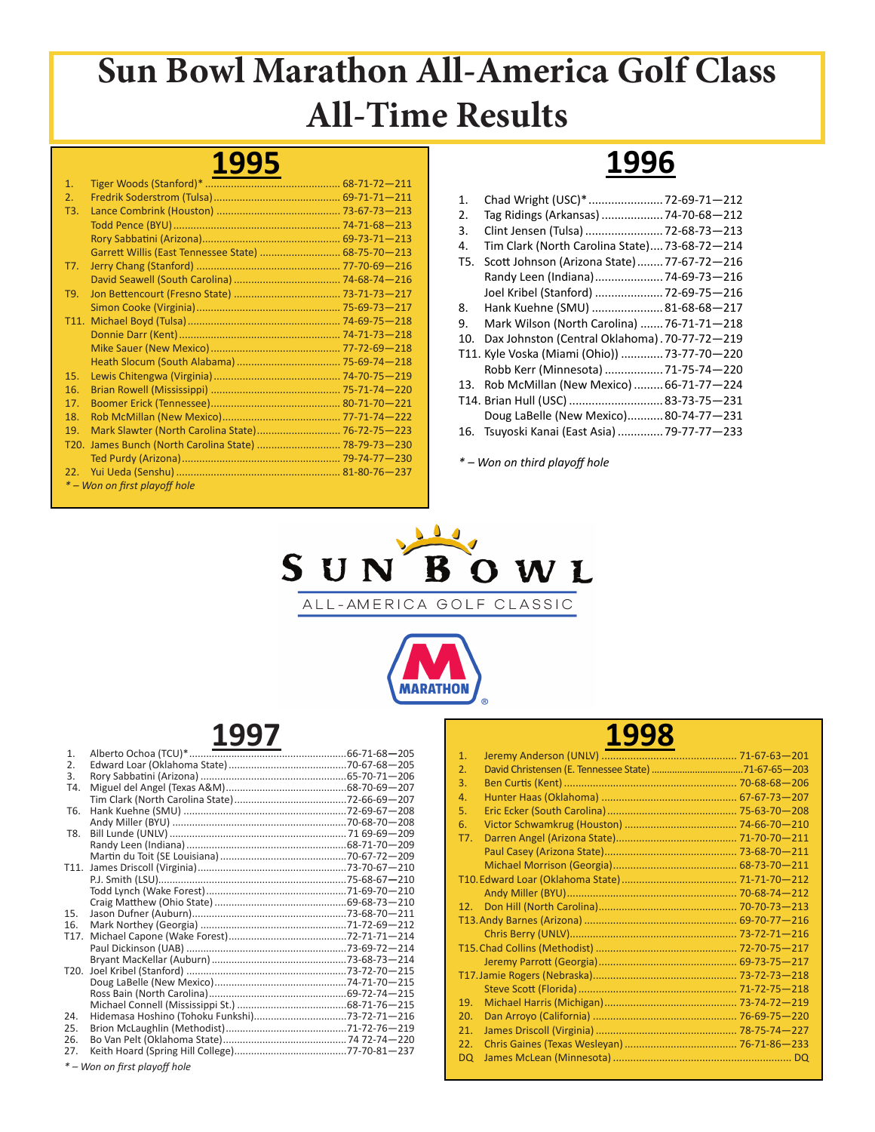### **1995**

| 1.              |                                                     |  |
|-----------------|-----------------------------------------------------|--|
| 2.              |                                                     |  |
| T3.             |                                                     |  |
|                 |                                                     |  |
|                 |                                                     |  |
|                 | Garrett Willis (East Tennessee State)  68-75-70-213 |  |
| T7.             |                                                     |  |
|                 |                                                     |  |
| T9.             |                                                     |  |
|                 |                                                     |  |
|                 |                                                     |  |
|                 |                                                     |  |
|                 |                                                     |  |
|                 |                                                     |  |
| 15.             |                                                     |  |
| 16.             |                                                     |  |
| 17.             |                                                     |  |
| 18.             |                                                     |  |
| 19.             | Mark Slawter (North Carolina State) 76-72-75-223    |  |
| T20.            |                                                     |  |
|                 |                                                     |  |
| 22 <sub>1</sub> |                                                     |  |
|                 | * – Won on first playoff hole                       |  |

# **1996**

| 1.  | Chad Wright (USC)*  72-69-71-212              |
|-----|-----------------------------------------------|
| 2.  | Tag Ridings (Arkansas)  74-70-68-212          |
| 3.  | Clint Jensen (Tulsa)  72-68-73-213            |
| 4.  | Tim Clark (North Carolina State) 73-68-72-214 |
| T5. | Scott Johnson (Arizona State) 77-67-72-216    |
|     | Randy Leen (Indiana) 74-69-73-216             |
|     | Joel Kribel (Stanford)  72-69-75-216          |
| 8.  | Hank Kuehne (SMU)  81-68-68-217               |
| 9.  | Mark Wilson (North Carolina)  76-71-71-218    |
| 10. | Dax Johnston (Central Oklahoma). 70-77-72-219 |
|     | T11. Kyle Voska (Miami (Ohio))  73-77-70-220  |
|     | Robb Kerr (Minnesota)  71-75-74-220           |
| 13. | Rob McMillan (New Mexico)  66-71-77-224       |
|     | T14. Brian Hull (USC)  83-73-75-231           |
|     | Doug LaBelle (New Mexico)80-74-77-231         |
|     | 16. Tsuyoski Kanai (East Asia)  79-77-77-233  |

*\* – Won on third playoff hole*



ALL-AMERICA GOLF CLASSIC



### **1997**

#### **1998**

| 1.              |  |
|-----------------|--|
| 2.              |  |
| 3.              |  |
| 4.              |  |
| 5.              |  |
| 6.              |  |
| T7.             |  |
|                 |  |
|                 |  |
|                 |  |
|                 |  |
| 12 <sub>1</sub> |  |
|                 |  |
|                 |  |
|                 |  |
|                 |  |
|                 |  |
|                 |  |
| 19.             |  |
| 20.             |  |
| 21.             |  |
| 22.             |  |
| <b>DQ</b>       |  |

*\* – Won on first playoff hole*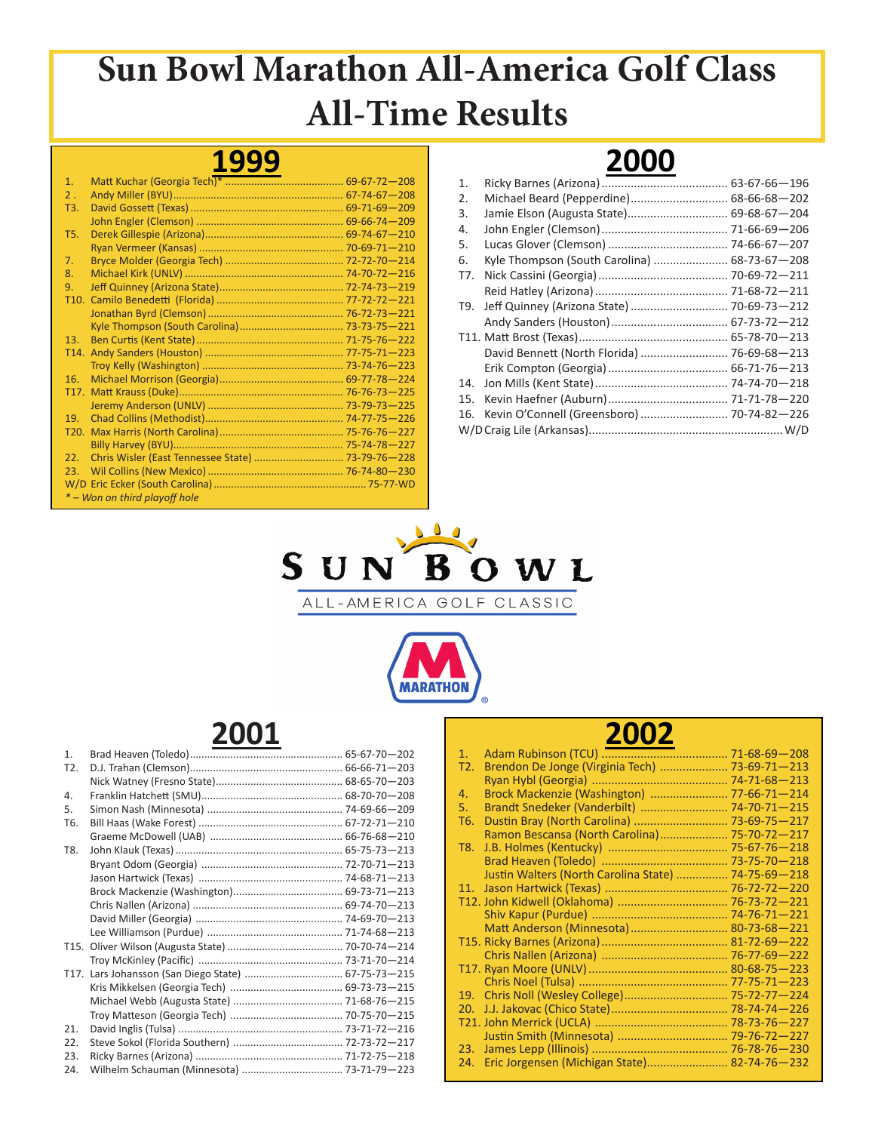#### **1999**

| 1 <sub>1</sub>    |                               |  |
|-------------------|-------------------------------|--|
| $2$ .             |                               |  |
| T3.               |                               |  |
|                   |                               |  |
| T5.               |                               |  |
|                   |                               |  |
| 7.                |                               |  |
| 8.                |                               |  |
| 9.                |                               |  |
| T <sub>10</sub> . |                               |  |
|                   |                               |  |
|                   |                               |  |
| 13.               |                               |  |
|                   |                               |  |
|                   |                               |  |
| 16.               |                               |  |
| T <sub>17</sub> . |                               |  |
|                   |                               |  |
| 19 <sub>1</sub>   |                               |  |
| T <sub>20</sub> . |                               |  |
|                   |                               |  |
| 22.               |                               |  |
| 23.               |                               |  |
|                   |                               |  |
|                   | * – Won on third playoff hole |  |

#### **2000** 1. Ricky Barnes (Arizona)....................................... 63-67-66—196 2. Michael Beard (Pepperdine).............................. 68-66-68—202 3. Jamie Elson (Augusta State)............................... 69-68-67—204 4. John Engler (Clemson)....................................... 71-66-69*—*206 5. Lucas Glover (Clemson) ..................................... 74-66-67—207 6. Kyle Thompson (South Carolina) ....................... 68-73-67—208 T7. Nick Cassini (Georgia)........................................ 70-69-72—211 Reid Hatley (Arizona)......................................... 71-68-72—211 T9. Jeff Quinney (Arizona State) .............................. 70-69-73—212 Andy Sanders (Houston).................................... 67-73-72—212 T11. Matt Brost (Texas).............................................. 65-78-70—213 David Bennett (North Florida) ........................... 76-69-68—213 Erik Compton (Georgia)..................................... 66-71-76—213 14. Jon Mills (Kent State)......................................... 74-74-70—218 15. Kevin Haefner (Auburn)..................................... 71-71-78—220 16. Kevin O'Connell (Greensboro)........................... 70-74-82—226 W/DCraig Lile (Arkansas)............................................................W/D





### **2001**

| 1 <sub>1</sub>   |  |
|------------------|--|
| T <sub>2</sub> . |  |
|                  |  |
| 4.               |  |
| 5.               |  |
| T <sub>6</sub> . |  |
|                  |  |
| T8.              |  |
|                  |  |
|                  |  |
|                  |  |
|                  |  |
|                  |  |
|                  |  |
|                  |  |
|                  |  |
|                  |  |
|                  |  |
|                  |  |
|                  |  |
| 21.              |  |
| 22.              |  |
| 23.              |  |
| 24.              |  |

| $\mathbf{1}$ . |                                                     |  |
|----------------|-----------------------------------------------------|--|
| T2.            | Brendon De Jonge (Virginia Tech)  73-69-71-213      |  |
|                |                                                     |  |
| 4.             | Brock Mackenzie (Washington)  77-66-71-214          |  |
| 5.             | Brandt Snedeker (Vanderbilt)  74-70-71-215          |  |
| T6.            | Dustin Bray (North Carolina)  73-69-75-217          |  |
|                | Ramon Bescansa (North Carolina) 75-70-72-217        |  |
| T8.            |                                                     |  |
|                |                                                     |  |
|                | Justin Walters (North Carolina State)  74-75-69-218 |  |
| 11.            |                                                     |  |
|                | T12. John Kidwell (Oklahoma)  76-73-72-221          |  |
|                |                                                     |  |
|                | Matt Anderson (Minnesota) 80-73-68-221              |  |
|                |                                                     |  |
|                |                                                     |  |
|                |                                                     |  |
|                |                                                     |  |
| 19.            |                                                     |  |
| 20.            |                                                     |  |
|                |                                                     |  |
|                |                                                     |  |
| 23.            |                                                     |  |
| 24.            | Eric Jorgensen (Michigan State) 82-74-76-232        |  |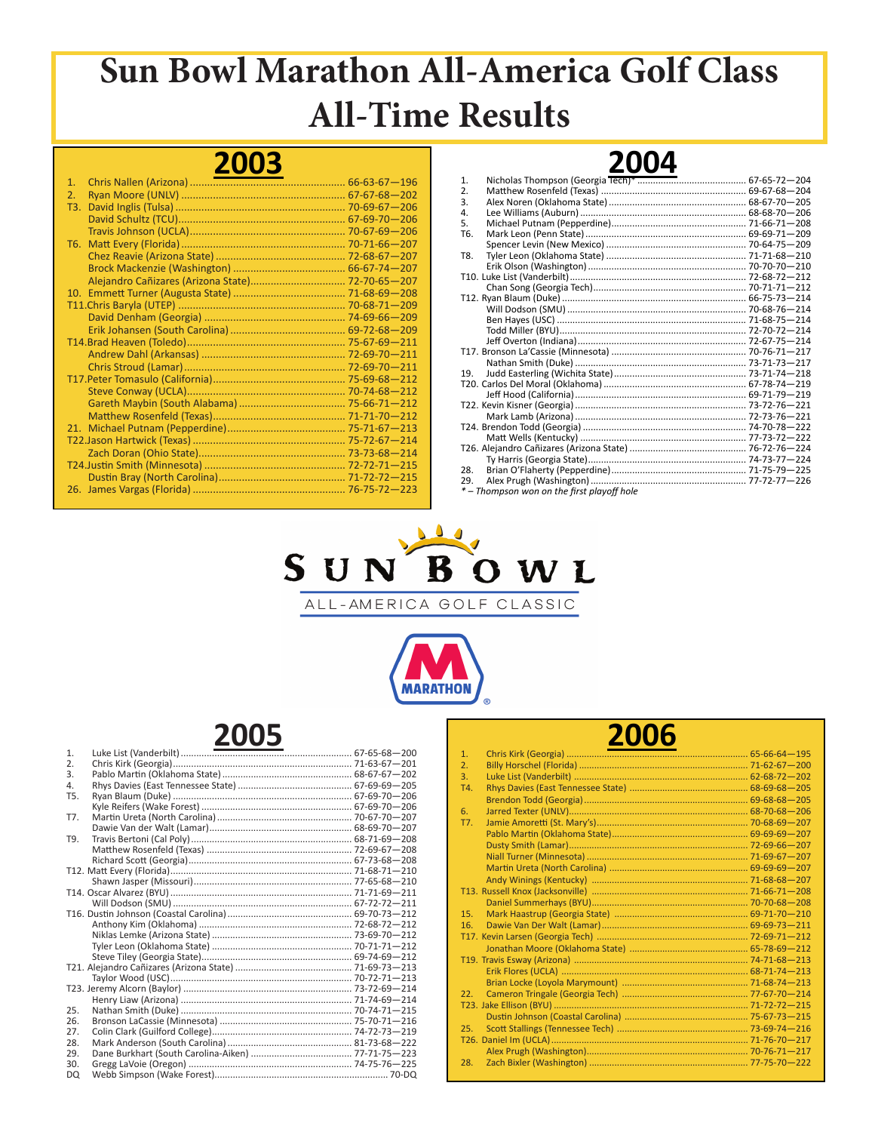### **2003**

| 1.  |  |
|-----|--|
| 2.  |  |
| T3. |  |
|     |  |
|     |  |
| T6. |  |
|     |  |
|     |  |
|     |  |
|     |  |
|     |  |
|     |  |
|     |  |
|     |  |
|     |  |
|     |  |
|     |  |
|     |  |
|     |  |
|     |  |
|     |  |
|     |  |
|     |  |
|     |  |
|     |  |
|     |  |
|     |  |

|                  | LUUT                                     |  |
|------------------|------------------------------------------|--|
| $\mathbf{1}$ .   |                                          |  |
| $\overline{2}$ . |                                          |  |
| 3.               |                                          |  |
| 4.               |                                          |  |
| 5.               |                                          |  |
| T <sub>6</sub>   |                                          |  |
|                  |                                          |  |
| T8.              |                                          |  |
|                  |                                          |  |
|                  |                                          |  |
|                  |                                          |  |
|                  |                                          |  |
|                  |                                          |  |
|                  |                                          |  |
|                  |                                          |  |
|                  |                                          |  |
|                  |                                          |  |
|                  |                                          |  |
| 19.              |                                          |  |
|                  |                                          |  |
|                  |                                          |  |
|                  |                                          |  |
|                  |                                          |  |
|                  |                                          |  |
|                  |                                          |  |
|                  |                                          |  |
|                  |                                          |  |
| 28.              |                                          |  |
| 29.              |                                          |  |
|                  | *-Thompson won on the first playoff hole |  |

**2004**



ALL-AMERICA GOLF CLASSIC



| 1.  |  |
|-----|--|
| 2.  |  |
| 3.  |  |
| 4.  |  |
| T5. |  |
|     |  |
| T7. |  |
|     |  |
| T9. |  |
|     |  |
|     |  |
|     |  |
|     |  |
|     |  |
|     |  |
|     |  |
|     |  |
|     |  |
|     |  |
|     |  |
|     |  |
|     |  |
|     |  |
|     |  |
| 25. |  |
| 26. |  |
| 27. |  |
| 28. |  |
| 29. |  |
| 30. |  |
| DQ  |  |

| 2006             |  |
|------------------|--|
| 1.               |  |
| $\overline{2}$ . |  |
| $\overline{3}$ . |  |
| T4.              |  |
|                  |  |
| 6.               |  |
| T7.              |  |
|                  |  |
|                  |  |
|                  |  |
|                  |  |
|                  |  |
|                  |  |
|                  |  |
| 15.              |  |
| 16.              |  |
|                  |  |
|                  |  |
|                  |  |
|                  |  |
|                  |  |
| 22 <sub>1</sub>  |  |
|                  |  |
|                  |  |
| 25.              |  |
|                  |  |
|                  |  |
| 28.              |  |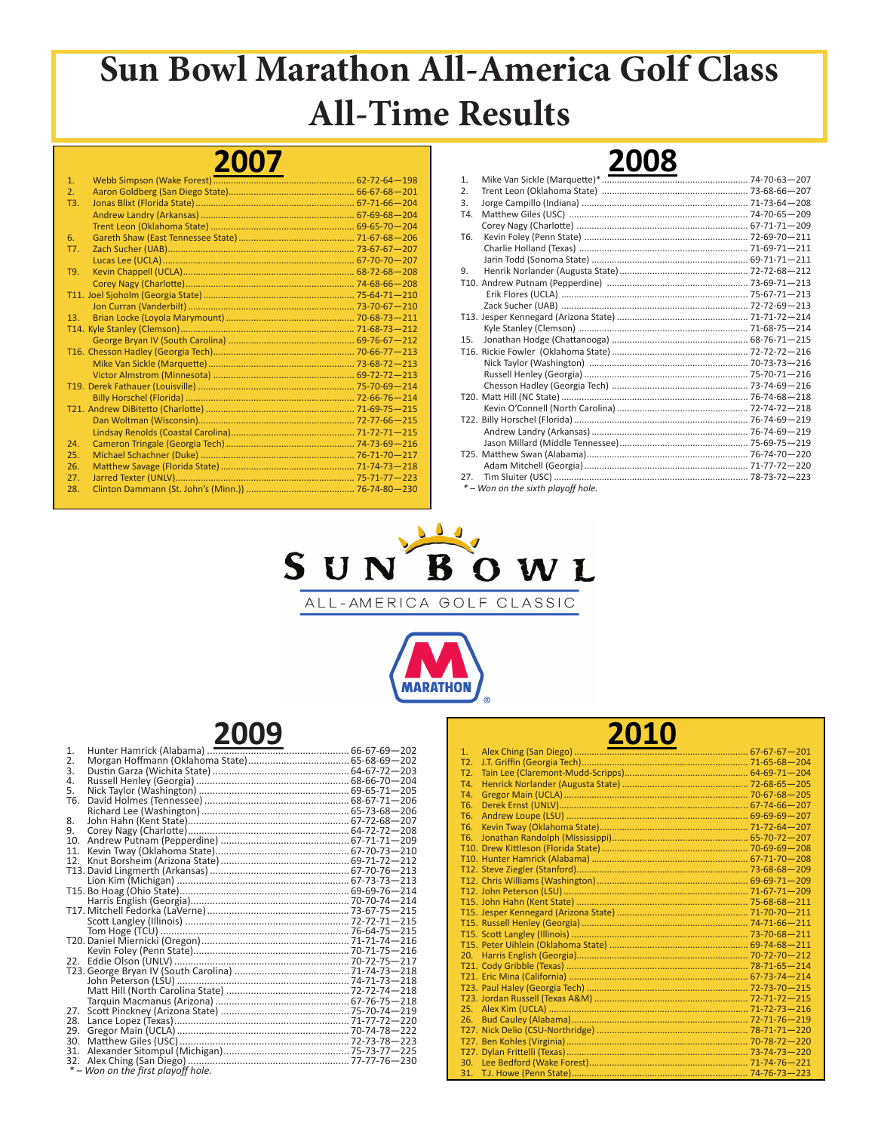#### **2007**

| 1.  |  |
|-----|--|
| 2.  |  |
| T3. |  |
|     |  |
|     |  |
| 6.  |  |
| T7. |  |
|     |  |
| T9. |  |
|     |  |
|     |  |
|     |  |
| 13. |  |
|     |  |
|     |  |
|     |  |
|     |  |
|     |  |
|     |  |
|     |  |
|     |  |
|     |  |
|     |  |
| 24. |  |
| 25. |  |
| 26. |  |
| 27. |  |
| 28. |  |

|                | <u>_____</u> |  |
|----------------|--------------|--|
| $\mathbf{1}$ . |              |  |
| 2.             |              |  |
| 3.             |              |  |
| T4.            |              |  |
|                |              |  |
| T6.            |              |  |
|                |              |  |
|                |              |  |
| 9.             |              |  |
|                |              |  |
|                |              |  |
|                |              |  |
|                |              |  |
|                |              |  |
| 15.            |              |  |
|                |              |  |
|                |              |  |
|                |              |  |
|                |              |  |
|                |              |  |
|                |              |  |
|                |              |  |
|                |              |  |
|                |              |  |
|                |              |  |
|                |              |  |
| 27.            |              |  |
|                |              |  |

**2008**

 *\* – Won on the sixth playoff hole.* 



ALL-AMERICA GOLF CLASSIC



| * - Won on the first playoff hole. |  |
|------------------------------------|--|
|                                    |  |

|                | <b>2010</b> |  |
|----------------|-------------|--|
| 1.             |             |  |
| T <sub>2</sub> |             |  |
| T <sub>2</sub> |             |  |
| T4.            |             |  |
| T4.            |             |  |
| T <sub>6</sub> |             |  |
| T <sub>6</sub> |             |  |
| T <sub>6</sub> |             |  |
| T <sub>6</sub> |             |  |
|                |             |  |
|                |             |  |
|                |             |  |
|                |             |  |
|                |             |  |
|                |             |  |
|                |             |  |
|                |             |  |
|                |             |  |
|                |             |  |
| 20.            |             |  |
|                |             |  |
|                |             |  |
|                |             |  |
|                |             |  |
| 25.            |             |  |
| 26.            |             |  |
|                |             |  |
|                |             |  |
|                |             |  |
|                |             |  |
|                |             |  |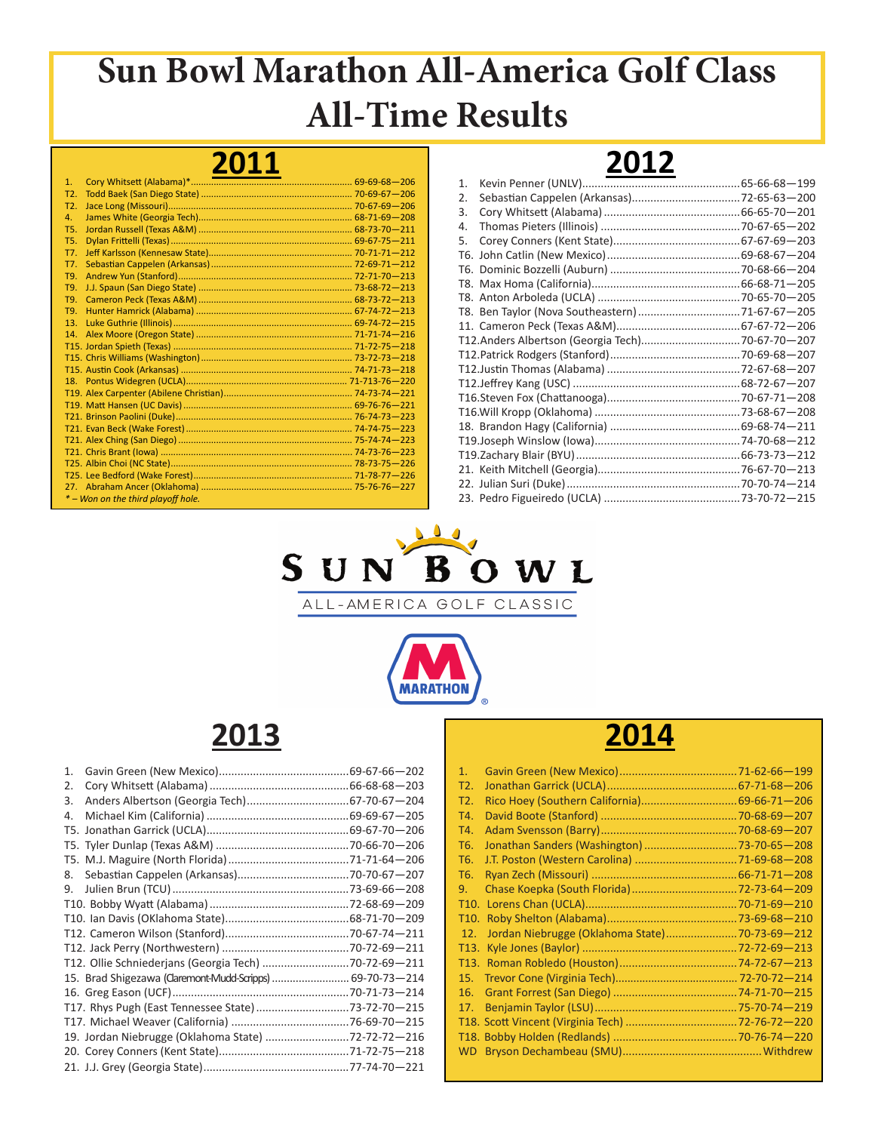### **2011**

| 1.               |                                    |  |
|------------------|------------------------------------|--|
| T <sub>2</sub>   |                                    |  |
| T <sub>2</sub> . |                                    |  |
| 4.               |                                    |  |
| T5.              |                                    |  |
| <b>T5.</b>       |                                    |  |
| T7.              |                                    |  |
| T7.              |                                    |  |
| T9.              |                                    |  |
| T9.              |                                    |  |
| T9.              |                                    |  |
| T9.              |                                    |  |
| 13.              |                                    |  |
| 14               |                                    |  |
|                  |                                    |  |
|                  |                                    |  |
|                  |                                    |  |
|                  |                                    |  |
|                  |                                    |  |
|                  |                                    |  |
|                  |                                    |  |
|                  |                                    |  |
|                  |                                    |  |
|                  |                                    |  |
|                  |                                    |  |
|                  |                                    |  |
|                  |                                    |  |
|                  | * - Won on the third playoff hole. |  |

## **2012**



ALL-AMERICA GOLF CLASSIC



## **2013**

| T12. Ollie Schniederjans (Georgia Tech) 70-72-69-211<br>15. Brad Shigezawa (Claremont-Mudd-Scripps)  69-70-73-214<br>T17. Rhys Pugh (East Tennessee State) 73-72-70-215<br>19. Jordan Niebrugge (Oklahoma State) 72-72-72-216 |
|-------------------------------------------------------------------------------------------------------------------------------------------------------------------------------------------------------------------------------|

| 1.                |                                               |  |
|-------------------|-----------------------------------------------|--|
| T2.               |                                               |  |
| T <sub>2</sub> .  |                                               |  |
| T4.               |                                               |  |
| T4.               |                                               |  |
| T6.               | Jonathan Sanders (Washington) 73-70-65-208    |  |
| T6.               |                                               |  |
| T6.               |                                               |  |
| 9.                |                                               |  |
| T <sub>10</sub> . |                                               |  |
| T <sub>10</sub> . |                                               |  |
| 12.               | Jordan Niebrugge (Oklahoma State)70-73-69-212 |  |
| T <sub>13</sub> . |                                               |  |
| T <sub>13</sub> . |                                               |  |
| 15.               |                                               |  |
| 16.               |                                               |  |
| 17.               |                                               |  |
|                   |                                               |  |
|                   |                                               |  |
|                   |                                               |  |